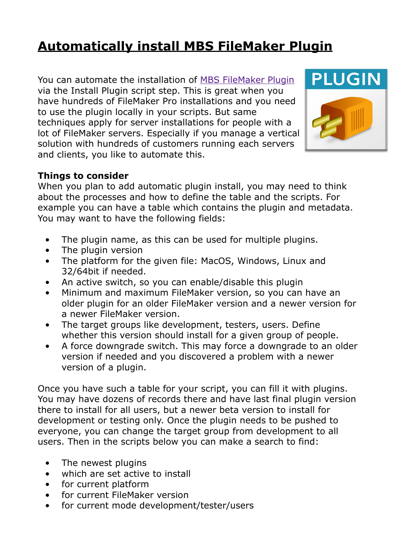# **[Automatically install MBS FileMaker Plugin](https://www.mbs-plugins.com/archive/2020-05-20/Automatically_install_MBS_File/monkeybreadsoftware_blog_filemaker)**

You can automate the installation of [MBS FileMaker Plugin](https://www.monkeybreadsoftware.com/filemaker/) via the Install Plugin script step. This is great when you have hundreds of FileMaker Pro installations and you need to use the plugin locally in your scripts. But same techniques apply for server installations for people with a lot of FileMaker servers. Especially if you manage a vertical solution with hundreds of customers running each servers and clients, you like to automate this.



#### **Things to consider**

When you plan to add automatic plugin install, you may need to think about the processes and how to define the table and the scripts. For example you can have a table which contains the plugin and metadata. You may want to have the following fields:

- The plugin name, as this can be used for multiple plugins.
- The plugin version
- The platform for the given file: MacOS, Windows, Linux and 32/64bit if needed.
- An active switch, so you can enable/disable this plugin
- Minimum and maximum FileMaker version, so you can have an older plugin for an older FileMaker version and a newer version for a newer FileMaker version.
- The target groups like development, testers, users. Define whether this version should install for a given group of people.
- A force downgrade switch. This may force a downgrade to an older version if needed and you discovered a problem with a newer version of a plugin.

Once you have such a table for your script, you can fill it with plugins. You may have dozens of records there and have last final plugin version there to install for all users, but a newer beta version to install for development or testing only. Once the plugin needs to be pushed to everyone, you can change the target group from development to all users. Then in the scripts below you can make a search to find:

- The newest plugins
- which are set active to install
- for current platform
- for current FileMaker version
- for current mode development/tester/users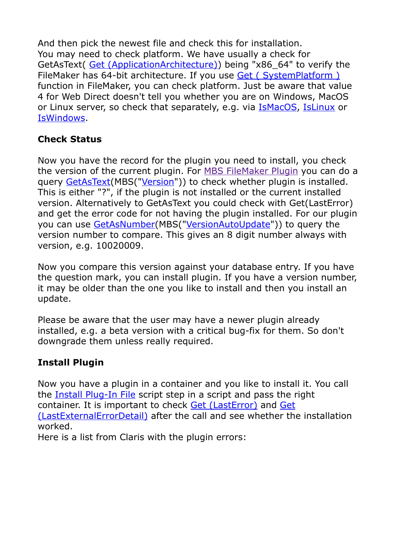And then pick the newest file and check this for installation. You may need to check platform. We have usually a check for GetAsText( [Get \(ApplicationArchitecture\)](https://fmhelp.filemaker.com/help/18/fmp/en/FMP_Help/get-applicationarchitecture.html#)) being "x86\_64" to verify the FileMaker has 64-bit architecture. If you use Get (SystemPlatform) function in FileMaker, you can check platform. Just be aware that value 4 for Web Direct doesn't tell you whether you are on Windows, MacOS or Linux server, so check that separately, e.g. via [IsMacOS](https://www.mbsplugins.eu/IsMacOS.shtml), [IsLinux](https://www.mbsplugins.eu/IsLinux.shtml) or [IsWindows](https://www.mbsplugins.eu/IsWindows.shtml).

### **Check Status**

Now you have the record for the plugin you need to install, you check the version of the current plugin. For [MBS FileMaker Plugin](https://www.monkeybreadsoftware.com/filemaker/) you can do a query [GetAsText](https://fmhelp.filemaker.com/help/18/fmp/en/FMP_Help/getastext.html#wwconnect_header)(MBS(["Version"](https://www.mbsplugins.eu/Version.shtml))) to check whether plugin is installed. This is either "?", if the plugin is not installed or the current installed version. Alternatively to GetAsText you could check with Get(LastError) and get the error code for not having the plugin installed. For our plugin you can use [GetAsNumber\(](https://fmhelp.filemaker.com/help/18/fmp/en/FMP_Help/getasnumber.html#wwconnect_header)MBS(["VersionAutoUpdate"](https://www.mbsplugins.eu/VersionAutoUpdate.shtml))) to query the version number to compare. This gives an 8 digit number always with version, e.g. 10020009.

Now you compare this version against your database entry. If you have the question mark, you can install plugin. If you have a version number, it may be older than the one you like to install and then you install an update.

Please be aware that the user may have a newer plugin already installed, e.g. a beta version with a critical bug-fix for them. So don't downgrade them unless really required.

## **Install Plugin**

Now you have a plugin in a container and you like to install it. You call the [Install Plug-In File](https://fmhelp.filemaker.com/help/18/fmp/en/FMP_Help/install-plug-in-file.html#wwconnect_header) script step in a script and pass the right container. It is important to check [Get \(LastError\)](https://fmhelp.filemaker.com/help/18/fmp/en/FMP_Help/get-lasterror.html#) and [Get](https://fmhelp.filemaker.com/help/18/fmp/en/FMP_Help/get-lastexternalerrordetail.html#)  [\(LastExternalErrorDetail\)](https://fmhelp.filemaker.com/help/18/fmp/en/FMP_Help/get-lastexternalerrordetail.html#) after the call and see whether the installation worked.

Here is a list from Claris with the plugin errors: